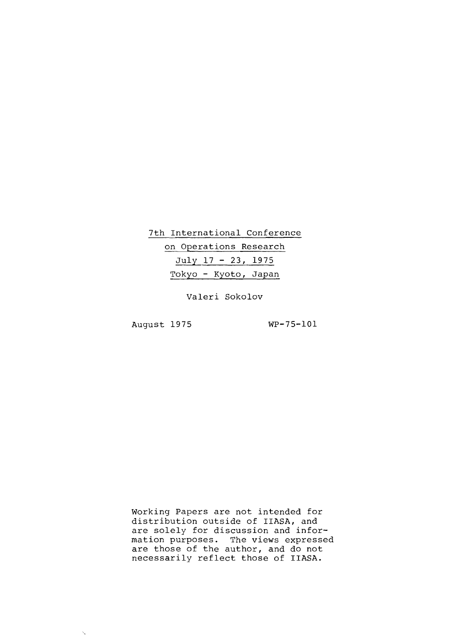7th International Conference on Operations Research July 17 - 23, 1975 Tokyo - Kyoto, Japan

Valeri Sokolov

August 1975 WP-75-l0l

 $\mathbf{v}_\mathbf{x}$ 

Working Papers are not intended for distribution outside of IIASA, and are solely for discussion and information purposes. The views expressed are those of the author, and do not necessarily reflect those of IIASA.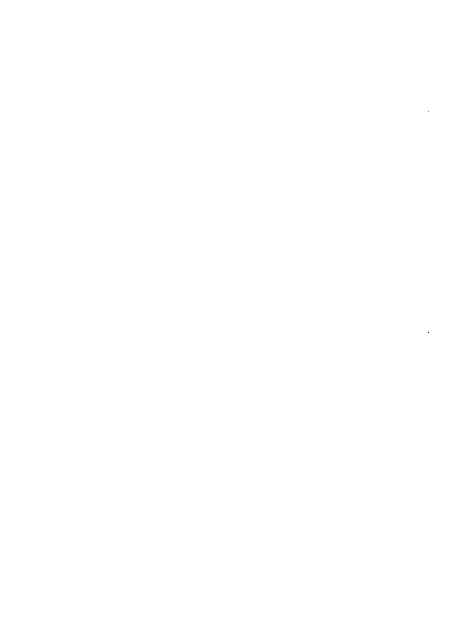$\epsilon$  $\star$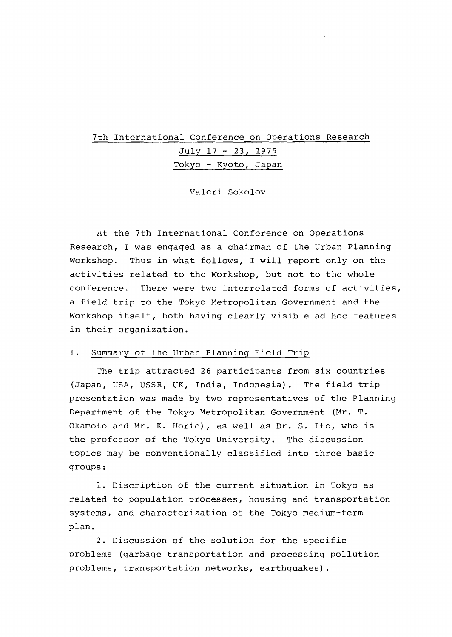# 7th International Conference on Operations Research July 17 - 23, 1975 Tokyo - Kyoto, Japan

Valeri Sokolov

At the 7th International Conference on Operations Research, I was engaged as a chairman of the Urban Planning Workshop. Thus in what follows, I will report only on the activities related to the Workshop, but not to the whole conference. There were two interrelated forms of activities, <sup>a</sup> field trip to the Tokyo Metropolitan Government and the Workshop itself, both having clearly visible ad hoc features in their organization.

## I. Summary of the Urban Planning Field Trip

The trip attracted <sup>26</sup> participants from six countries (Japan, USA, USSR, UK, India, Indonesia). The field trip presentation was made by two representatives of the Planning Department of the Tokyo Metropolitan Government (Mr. T. Okamoto and Mr. K. Horie), as well as Dr. S. Ito, who is the professor of the Tokyo University. The discussion topics may be conventionally classified into three basic groups:

**1.** Discription of the current situation in Tokyo as related to population processes, housing and transportation systems, and characterization of the Tokyo medium-term plan.

2. Discussion of the solution for the specific problems (garbage transportation and processing pollution problems, transportation networks, earthquakes).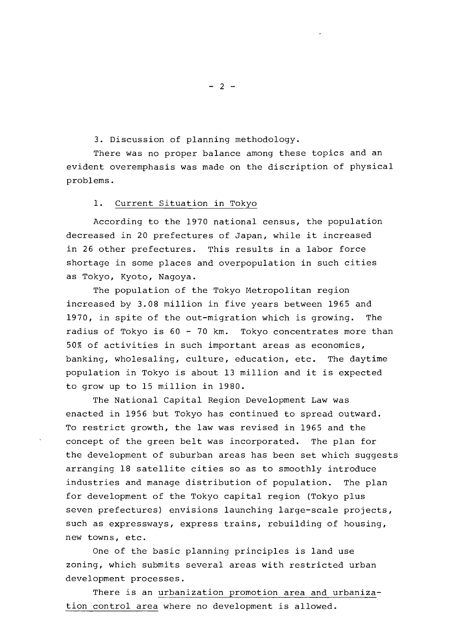3. Discussion of planning methodology.

There was no proper balance among these topics and an evident overemphasis was made on the discription of physical problems.

### **1.** Current Situation in Tokyo

According to the 1970 national census, the population decreased in <sup>20</sup> prefectures of Japan, while it increased in 26 other prefectures. This results in <sup>a</sup> labor force shortage in some places and overpopulation in such cities as Tokyo, Kyoto, Nagoya.

The population of the Tokyo Metropolitan region increased by 3.08 million in five years between 1965 and 1970, in spite of the out-migration which is growing. The radius of Tokyo is <sup>60</sup> - <sup>70</sup> km. Tokyo concentrates more than 50% of activities in such important areas as economics, banking, wholesaling, culture, education, etc. The daytime population ln Tokyo is about <sup>13</sup> million and it is expected to grow up to 15 million in 1980.

The National Capital Region Development Law was enacted in 1956 but Tokyo has continued to spread outward. To restrict growth, the law was revised in 1965 and the concept of the green belt was incorporated. The plan for the development of suburban areas has been set which suggests arranging <sup>18</sup> satellite cities so as to smoothly introduce industries and manage distribution of population. The plan for development of the Tokyo capital region (Tokyo plus seven prefectures) envisions launching large-scale projects, such as expressways, express trains, rebuilding of housing, new towns, etc.

One of the basic planning principles is land use zoning, which submits several areas with restricted urban development processes.

There is an urbanization promotion area and urbanization control area where no development is allowed.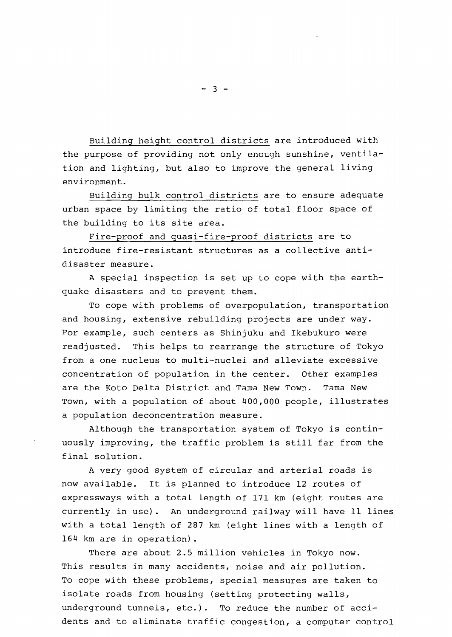Building height control districts are introduced with the purpose of providing not only enough sunshine, ventilation and lighting, but also to improve the general living environment.

Building bulk control districts are to ensure adequate urban space by limiting the ratio of total floor space of the building to its site area.

Fire-proof and quasi-fire-proof districts are to introduce fire-resistant structures as <sup>a</sup> collective antidisaster measure.

<sup>A</sup> special inspection is set up to cope with the earthquake disasters and to prevent them.

To cope with problems of overpopulation, transportation and housing, extensive rebuilding projects are under way. For example, such centers as Shinjuku and Ikebukuro were readjusted. This helps to rearrange the structure of Tokyo from <sup>a</sup> one nucleus to multi-nuclei and alleviate excessive concentration of population in the center. Other examples are the Koto Delta District and Tama New Town. Tama New Town, with <sup>a</sup> population of about 400,000 people, illustrates a population deconcentration measure.

Although the transportation system of Tokyo is continuously improving, the traffic problem is still far from the final solution.

<sup>A</sup> very good system of circular and arterial roads is now available. It is planned to introduce <sup>12</sup> routes of expressways with <sup>a</sup> total length of 171 km (eight routes are currently in use). An underground railway will have 11 lines with <sup>a</sup> total length of 287 km (eight lines with <sup>a</sup> length of 164 km are in operation).

There are about 2.5 million vehicles in Tokyo now. This results in many accidents, noise and air pollution. To cope with these problems, special measures are taken to isolate roads from housing (setting protecting walls, underground tunnels, etc.). To reduce the number of accidents and to eliminate traffic congestion, <sup>a</sup> computer control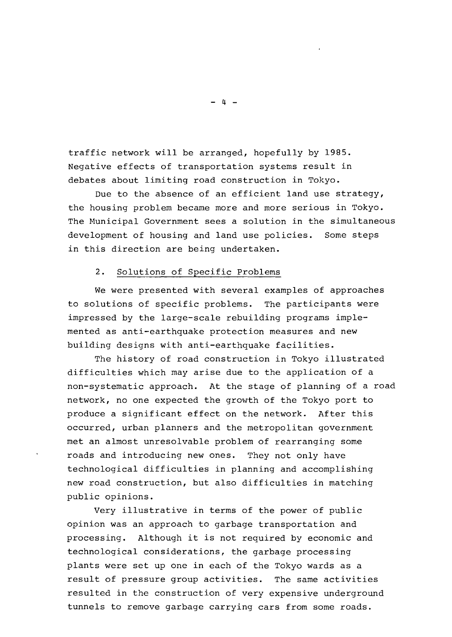traffic network will be arranged, hopefully by 1985. Negative effects of transportation systems result in debates about limiting road construction in Tokyo.

Due to the absence of an efficient land use strategy, the housing problem became more and more serious in Tokyo. The Municipal Government sees a solution in the simultaneous development of housing and land use policies. Some steps in this direction are being undertaken.

## 2. Solutions of Specific Problems

We were presented with several examples of approaches to solutions of specific problems. The participants were impressed by the large-scale rebuilding programs implemented as anti-earthquake protection measures and new building designs with anti-earthquake facilities.

The history of road construction in Tokyo illustrated difficulties which may arise due to the application of <sup>a</sup> non-systematic approach. At the stage of planning of a road network, no one expected the growth of the Tokyo port to produce <sup>a</sup> significant effect on the network. After this occurred, urban planners and the metropolitan government met an almost unresolvable problem of rearranging some roads and introducing new ones. They not only have technological difficulties in planning and accomplishing new road construction, but also difficulties in matching public opinions.

Very illustrative in terms of the power of public opinion was an approach to garbage transportation and processing. Although it is not required by economic and technological considerations, the garbage processing plants were set up one in each of the Tokyo wards as <sup>a</sup> result of pressure group activities. The same activities resulted in the construction of very expensive underground tunnels to remove garbage carrying cars from some roads.

 $- 4 -$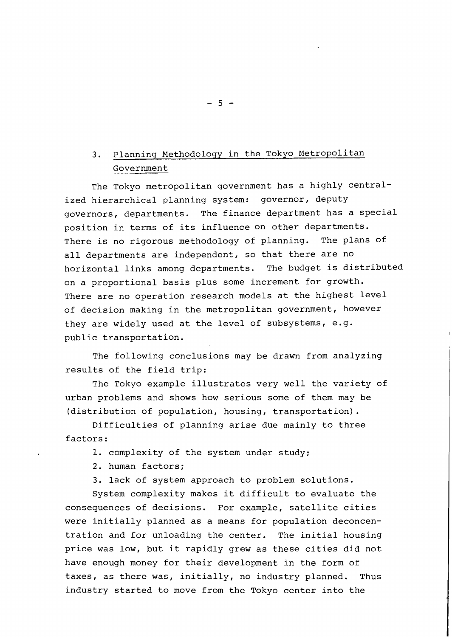## 3. Planning Methodology in the Tokyo Metropolitan Government

The Tokyo metropolitan government has a highly centralized hierarchical planning system: governor, deputy governors, departments. The finance department has a special position in terms of its influence on other departments. There is no rigorous methodology of planning. The plans of all departments are independent, so that there are no horizontal links among departments. The budget is distributed on a proportional basis plus some increment for growth. There are no operation research models at the highest level of decision making in the metropolitan government, however they are widely used at the level of subsystems, e.g. public transportation.

The following conclusions may be drawn from analyzing results of the field trip:

The Tokyo example illustrates very well the variety of urban problems and shows how serious some of them may be (distribution of population, housing, transportation).

Difficulties of planning arise due mainly to three factors:

**1.** complexity of the system under study;

2. human factors;

3. lack of system approach to problem solutions.

System complexity makes it difficult to evaluate the consequences of decisions. For example, satellite cities were initially planned as <sup>a</sup> means for population deconcentration and for unloading the center. The initial housing price was low, but it rapidly grew as these cities did not have enough money for their development in the form of taxes, as there was, initially, no industry planned. Thus industry started to move from the Tokyo center into the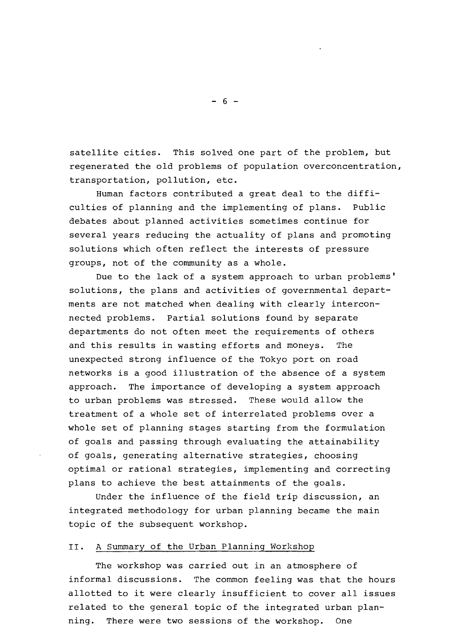satellite cities. This solved one part of the problem, but regenerated the old problems of population overconcentration, transportation, pollution, etc.

Human factors contributed <sup>a</sup> great deal to the difficulties of planning and the implementing of plans. Public debates about planned activities sometimes continue for several years reducing the actuality of plans and promoting solutions which often reflect the interests of pressure groups, not of the community as a whole.

Due to the lack of a system approach to urban problems' solutions, the plans and activities of governmental departments are not matched when dealing with clearly interconnected problems. Partial solutions found by separate departments do not often meet the requirements of others and this results in wasting efforts and moneys. The unexpected strong influence of the Tokyo port on road networks is <sup>a</sup> good illustration of the absence of <sup>a</sup> system approach. The importance of developing a system approach to urban problems was stressed. These would allow the treatment of <sup>a</sup> whole set of interrelated problems over <sup>a</sup> whole set of planning stages starting from the formulation of goals and passing through evaluating the attainability of goals, generating alternative strategies, choosing optimal or rational strategies, implementing and correcting plans to achieve the best attainments of the goals.

Under the influence of the field trip discussion, an integrated methodology for urban planning became the main topic of the subsequent workshop.

### II. <sup>A</sup> Summary of the Urban Planning Workshop

The workshop was carried out in an atmosphere of informal discussions. The common feeling was that the hours allotted to it were clearly insufficient to cover all issues related to the general topic of the integrated urban planning. There were two sessions of the workshop. One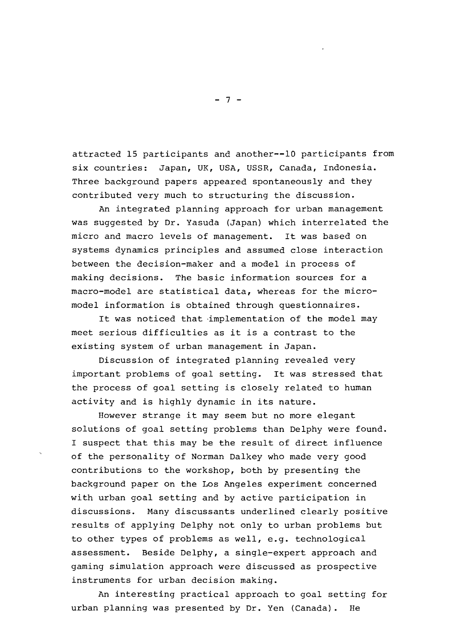attracted 15 participants and another--10 participants from six countries: Japan, UK, USA, USSR, Canada, Indonesia. Three background papers appeared spontaneously and they contributed very much to structuring the discussion.

An integrated planning approach for urban management was suggested by Dr. Yasuda (Japan) which interrelated the micro and macro levels of management. It was based on systems dynamics principles and assumed close interaction between the decision-maker and a model in process of making decisions. The basic information sources for a macro-model are statistical data, whereas for the micromodel information is obtained through questionnaires.

It was noticed that implementation of the model may meet serious difficulties as it is <sup>a</sup> contrast to the existing system of urban management in Japan.

Discussion of integrated planning revealed very important problems of goal setting. It was stressed that the process of goal setting is closely related to human activity and is highly dynamic in its nature.

However strange it may seem but no more elegant solutions of goal setting problems than Delphy were found. <sup>I</sup> suspect that this may be the result of direct influence of the personality of Norman Dalkey who made very good contributions to the workshop, both by presenting the background paper on the Los Angeles experiment concerned with urban goal setting and by active participation in discussions. Many discussants underlined clearly positive results of applying Delphy not only to urban problems but to other types of problems as well, e.g. technological assessment. Beside Delphy, a single-expert approach and gaming simulation approach were discussed as prospective instruments for urban decision making.

An interesting practical approach to goal setting for urban planning was presented by Dr. Yen (Canada). He

 $- 7 -$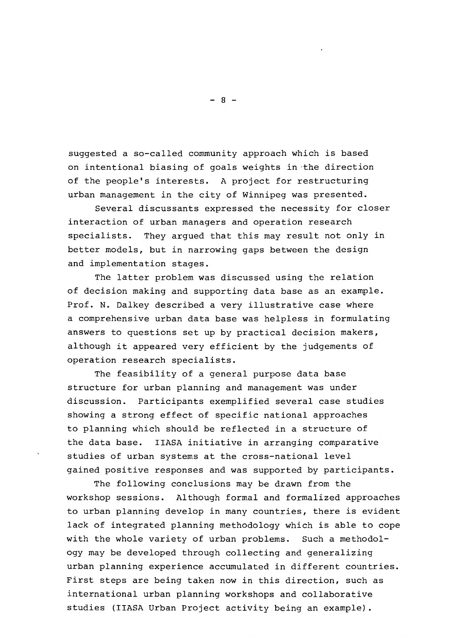suggested <sup>a</sup> so-called community approach which is based on intentional biasing of goals weights in-the direction of the people's interests. <sup>A</sup> project for restructuring urban management in the city of Winnipeg was presented.

Several discussants expressed the necessity for closer interaction of urban managers and operation research specialists. They argued that this may result not only in better models, but in narrowing gaps between the design and implementation stages.

The latter problem was discussed using the relation of decision making and supporting data base as an example. Prof. N. Dalkey described <sup>a</sup> very illustrative case where a comprehensive urban data base was helpless in formulating answers to questions set up by practical decision makers, although it appeared very efficient by the judgements of operation research specialists.

The feasibility of <sup>a</sup> general purpose data base structure for urban planning and management was under discussion. Participants exemplified several case studies showing <sup>a</sup> strong effect of specific national approaches to planning which should be reflected in a structure of the data base. IIASA initiative in arranging comparative studies of urban systems at the cross-national level gained positive responses and was supported by participants.

The following conclusions may be drawn from the workshop sessions. Although formal and formalized approaches to urban planning develop in many countries, there is evident lack of integrated planning methodology which is able to cope with the whole variety of urban problems. Such a methodology may be developed through collecting and generalizing urban planning experience accumulated in different countries. First steps are being taken now in this direction, such as international urban planning workshops and collaborative studies (IIASA Urban Project activity being an example) .